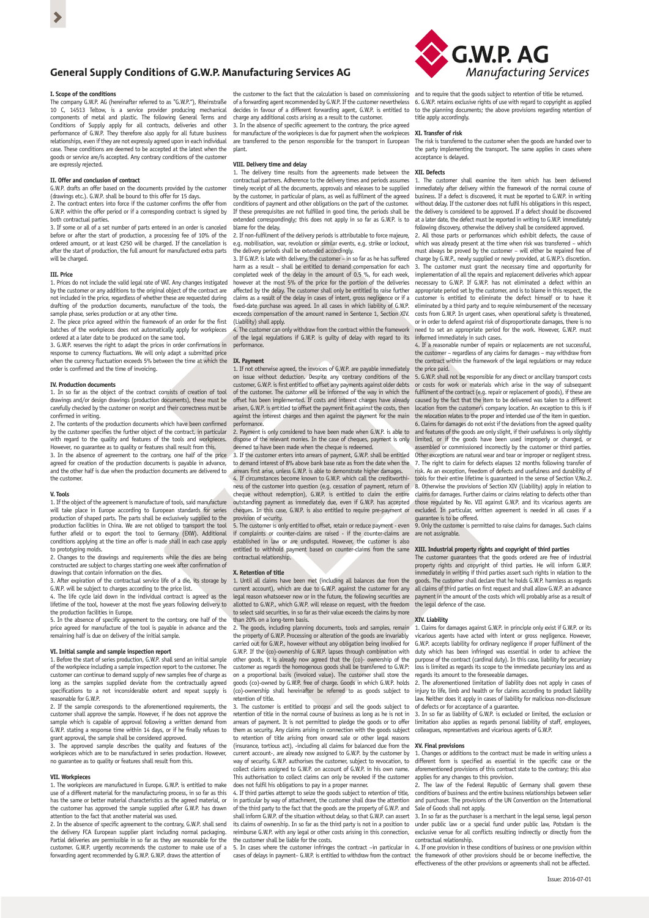# **General Supply Conditions of G.W.P. Manufacturing Services AG**

## **I. Scope of the conditions**

The company G.W.P. AG (hereinafter referred to as "G.W.P."), Rheinstraße 10 C, 14513 Teltow, is a service provider producing mechanical components of metal and plastic. The following General Terms and Conditions of Supply apply for all contracts, deliveries and other performance of G.W.P. They therefore also apply for all future business relationships, even if they are not expressly agreed upon in each individual case. These conditions are deemed to be accepted at the latest when the goods or service are/is accepted. Any contrary conditions of the custome re expressly rejected.

# **II. Offer and conclusion of contract**

G.W.P. drafts an offer based on the documents provided by the customer (drawings etc.). G.W.P. shall be bound to this offer for 15 days.

2. The contract enters into force if the customer confirms the offer from G.W.P. within the offer period or if a corresponding contract is signed by both contractual parties

3. If some or all of a set number of parts entered in an order is canceled before or after the start of production, a processing fee of 10% of the ordered amount, or at least €250 will be charged. If the cancellation is after the start of production, the full amount for manufactured extra parts will be charged.

## **III. Price**

1. Prices do not include the valid legal rate of VAT. Any changes instigated by the customer or any additions to the original object of the contract are not included in the price, regardless of whether these are requested during drafting of the production documents, manufacture of the tools, the

sample phase, series production or at any other time. 2. The piece price agreed within the framework of an order for the first batches of the workpieces does not automatically apply for workpieces ordered at a later date to be produced on the same tool.

3. G.W.P. reserves the right to adapt the prices in order confirmations in response to currency fluctuations. We will only adapt a submitted price when the currency fluctuation exceeds 5% between the time at which the order is confirmed and the time of invoicing.

### **IV. Production documents**

1. In so far as the object of the contract consists of creation of tool drawings and/or design drawings (production documents), these must be carefully checked by the customer on receipt and their correctness must be confirmed in writing.

2. The contents of the production documents which have been confirmed by the customer specifies the further object of the contract, in particular with regard to the quality and features of the tools and workpieces. However, no guarantee as to quality or features shall result from this.

3. In the absence of agreement to the contrary, one half of the price agreed for creation of the production documents is payable in advance, and the other half is due when the production documents are delivered to the customer.

## **V. Tools**

1. If the object of the agreement is manufacture of tools, said manufacture will take place in Europe according to European standards for series production of shaped parts. The parts shall be exclusively supplied to the production facilities in China. We are not obliged to transport the tool further afield or to export the tool to Germany (EXW). Additional conditions applying at the time an offer is made shall in each case apply

to prototyping molds. 2. Changes to the drawings and requirements while the dies are being constructed are subject to charges starting one week after confirmation of drawings that contain information on the dies.<br>3. After expiration of the contractual sensice I

expiration of the contractual service life of a die, its storage by G.W.P. will be subject to charges according to the price list.

4. The life cycle laid down in the individual contract is agreed as the lifetime of the tool, however at the most five years following delivery to the production facilities in Europe.

5. In the absence of specific agreement to the contrary, one half of the price agreed for manufacture of the tool is payable in advance and the remaining half is due on delivery of the initial sample.

**VI. Initial sample and sample inspection report** 1. Before the start of series production, G.W.P. shall send an initial sample of the workpiece including a sample inspection report to the customer. The customer can continue to demand supply of new samples free of charge as long as the samples supplied deviate from the contractually agreed specifications to a not inconsiderable extent and repeat supply is reasonable for G.W.P.

2. If the sample corresponds to the aforementioned requirements, the customer shall approve the sample. However, if he does not approve the sample which is capable of approval following a written demand from G.W.P. stating a response time within 14 days, or if he finally refuses to grant approval, the sample shall be considered approved.

3. The approved sample describes the quality and features of the workpieces which are to be manufactured in series production. However, no guarantee as to quality or features shall result from this.

## **VII. Workpieces**

1. The workpieces are manufactured in Europe. G.W.P. is entitled to make use of a different material for the manufacturing process, in so far as this has the same or better material characteristics as the agreed material, or the customer has approved the sample supplied after G.W.P. has drawn attention to the fact that another material was used.

2. In the absence of specific agreement to the contrary, G.W.P. shall send the delivery FCA European supplier plant including normal packaging. Partial deliveries are permissible in so far as they are reasonable for the customer. G.W.P. urgently recommends the customer to make use of a forwarding agent recommended by G.W.P. G.W.P. draws the attention of

the customer to the fact that the calculation is based on commissioning of a forwarding agent recommended by G.W.P. If the customer nevertheless decides in favour of a different forwarding agent, G.W.P. is entitled to charge any additional costs arising as a result to the customer.

3. In the absence of specific agreement to the contrary, the price agreed for manufacture of the workpieces is due for payment when the workpieces are transferred to the person responsible for the transport in European plant.

# **VIII. Delivery time and delay**

1. The delivery time results from the agreements made between the contractual partners. Adherence to the delivery times and periods assumes timely receipt of all the documents, approvals and releases to be supplied by the customer, in particular of plans, as well as fulfilment of the agreed conditions of payment and other obligations on the part of the customer. If these prerequisites are not fulfilled in good time, the periods shall be extended correspondingly; this does not apply in so far as G.W.P. is to blame for the delay.

2. If non-fulfilment of the delivery periods is attributable to force maje e.g. mobilisation, war, revolution or similar events, e.g. strike or lockout the delivery periods shall be extended accordingly.

3. If G.W.P. is late with delivery, the customer – in so far as he has suffered harm as a result – shall be entitled to demand compensation for each completed week of the delay in the amount of 0.5 %, for each week, however at the most 5% of the price for the portion of the deliveries affected by the delay. The customer shall only be entitled to raise further claims as a result of the delay in cases of intent, gross negligence or if a fixed-date purchase was agreed. In all cases in which liability of G.W.P. exceeds compensation of the amount named in Sentence 1, Section XIV. (Liability) shall apply.

4. The customer can only withdraw from the contract within the framework of the legal regulations if G.W.P. is guilty of delay with regard to its informed immediately in such cases. perform

## **IX. Payment**

1. If not otherwise agreed, the invoices of G.W.P. are payable immediately on issue without deduction. Despite any contrary conditions of the customer, G.W.P. is first entitled to offset any payments against older debts of the customer. The customer will be informed of the way in which the of the easterner. The easterner will be informed of the way in which the offset has been implemented. If costs and interest charges have already arisen, G.W.P. is entitled to offset the payment first against the costs, then against the interest charges and then against the payment for the main performance.

.<br>2. Payment is only considered to have been made when G.W.P. is able to dispose of the relevant monies. In the case of cheques, payment is only deemed to have been made when the cheque is redeemed.

3. If the customer enters into arrears of payment, G.W.P. shall be entitled to demand interest of 8% above bank base rate as from the date when the arrears first arise, unless G.W.P. is able to demonstrate higher damages. 4. If circumstances become known to G.W.P. which call the creditworthiness of the customer into question (e.g. cessation of payment, return of cheque without redemption), G.W.P. is entitled to claim the entire outstanding payment as immediately due, even if G.W.P. has accepted cheques. In this case, G.W.P. is also entitled to require pre-payment or provision of security.

5. The customer is only entitled to offset, retain or reduce payment - even if complaints or counter-claims are raised - if the counter-claims are established in law or are undisputed. However, the customer is also entitled to withhold payment based on counter-claims from the same contractual relationship.

#### **X. Retention of title**

1. Until all claims have been met (including all balances due from the current account), which are due to G.W.P. against the customer for any legal reason whatsoever now or in the future, the following securities are allotted to G.W.P., which G.W.P. will release on request, with the freedom to select said securities, in so far as their value exceeds the claims by more

than 20% on a long-term basis. 2. The goods, including planning documents, tools and samples, remain the property of G.W.P. Processing or alteration of the goods are invariably carried out for G.W.P., however without any obligation being involved for G.W.P. If the (co)-ownership of G.W.P. lapses through combination with other goods, it is already now agreed that the (co)- ownership of the customer as regards the homogenous goods shall be transferred to G.W.P: on a proportional basis (invoiced value). The customer shall store the goods (co)-owned by G.W.P. free of charge. Goods in which G.W.P. holds (co)-ownership shall hereinafter be referred to as goods subject to re*y* emmersing.<br>Prention of title.

3. The customer is entitled to process and sell the goods subject to retention of title in the normal course of business as long as he is not in arrears of payment. It is not permitted to pledge the goods or to offer them as security. Any claims arising in connection with the goods subject to retention of title arising from onward sale or other legal reasons (insurance, tortious act), -including all claims for balanced due from the current account-, are already now assigned to G.W.P. by the customer by way of security. G.W.P. authorises the customer, subject to revocation, to collect claims assigned to G.W.P. on account of G.W.P. in his own name. This authorisation to collect claims can only be revoked if the customer does not fulfil his obligations to pay in a proper manner.

4. If third parties attempt to seize the goods subject to retention of title, in particular by way of attachment, the customer shall draw the attention of the third party to the fact that the goods are the property of G.W.P. and shall inform G.W.P. of the situation without delay, so that G.W.P. can assert its claims of ownership. In so far as the third party is not in a position to reimburse G.W.P. with any legal or other costs arising in this connecti the customer shall be liable for the costs.

5. In cases where the customer infringes the contract –in particular in



and to require that the goods subject to retention of title be returned. 6. G.W.P. retains exclusive rights of use with regard to copyright as applied to the planning documents; the above provisions regarding retention of title apply accordingly.

#### **XI. Transfer of risk**

The risk is transferred to the customer when the goods are handed over to the party implementing the transport. The same applies in cases where acceptance is delayed.

### **XII. Defects**

1. The customer shall examine the item which has been delivered immediately after delivery within the framework of the normal course of business. If a defect is discovered, it must be reported to G.W.P. in writing without delay. If the customer does not fulfil his obligations in this respect, the delivery is considered to be approved. If a defect should be discovered at a later date, the defect must be reported in writing to G.W.P. immediately following discovery, otherwise the delivery shall be considered approved. 2. All those parts or performances which exhibit defects, the cause of

which was already present at the time when risk was transferred – which must always be proved by the customer – will either be repaired free of

charge by G.W.P., newly supplied or newly provided, at G.W.P.'s discretion. 3. The customer must grant the necessary time and opportunity for implementation of all the repairs and replacement deliveries which appear necessary to G.W.P. If G.W.P. has not eliminated a defect within an appropriate period set by the customer, and is to blame in this respect, the customer is entitled to eliminate the defect himself or to have it eliminated by a third party and to require reimbursement of the necessary costs from G.W.P. In urgent cases, when operational safety is threatened, or in order to defend against risk of disproportionate damages, there is no need to set an appropriate period for the work. However, G.W.P. must

4. If a reasonable number of repairs or replacements are not successful, the customer – regardless of any claims for damages – may withdraw from the contract within the framework of the legal regulations or may reduce the price paid.

5. G.W.P. shall not be responsible for any direct or ancillary transport costs costs for work or materials which arise in the way of subsequent fulfilment of the contract (e.g. repair or replacement of goods), if these are caused by the fact that the item to be delivered was taken to a different location from the customer's company location. An exception to this is if the relocation relates to the proper and intended use of the item in question. 6. Claims for damages do not exist if the deviations from the agreed quality and features of the goods are only slight, if their usefulness is only slightly limited, or if the goods have been used improperly or changed, or assembled or commissioned incorrectly by the customer or third parties. Other exceptions are natural wear and tear or improper or negligent stress. 7. The right to claim for defects elapses 12 months following transfer of risk. As an exception, freedom of defects and usefulness and durability of tools for their entire lifetime is guaranteed in the sense of Section V,No.2. 8. Otherwise the provisions of Section XIV (Liability) apply in relation to claims for damages. Further claims or claims relating to defects other than those regulated by No. VII against G.W.P. and its vicarious agents are excluded. In particular, written agreement is needed in all cases if a guarantee is to be offered.

9. Only the customer is permitted to raise claims for damages. Such claims are not assignable.

**XIII. Industrial property rights and copyright of third parties** The customer guarantees that the goods ordered are free of industrial property rights and copyright of third parties. He will inform G.W.P. immediately in writing if third parties assert such rights in relation to the ods. The customer shall declare that he holds G.W.P. harmless as regards all claims of third parties on first request and shall allow G.W.P. an advance payment in the amount of the costs which will probably arise as a result of the legal defence of the case.

### **XIV. Liability**

1. Claims for damages against G.W.P. in principle only exist if G.W.P. or its vicarious agents have acted with intent or gross negligence. However, G.W.P. accepts liability for ordinary negligence if proper fulfilment of the duty which has been infringed was essential in order to achieve the purpose of the contract (cardinal duty). In this case, liability for pecuniary loss is limited as regards its scope to the immediate pecuniary loss and as

regards its amount to the foreseeable damages. 2. The aforementioned limitation of liability does not apply in cases of injury to life, limb and health or for claims according to product liability law. Neither does it apply in cases of liability for malicious non-disclosure of defects or for acceptance of a guarantee.

3. In so far as liability of G.W.P. is excluded or limited, the exclusion or limitation also applies as regards personal liability of staff, employees. litation also applies as regards personal liability of staff, employees, colleagues, representatives and vicarious agents of G.W.P.

## **XV. Final provisions**

1. Changes or additions to the contract must be made in writing unless a different form is specified as essential in the specific case or the aforementioned provisions of this contract state to the contrary; this also applies for any changes to this provision.

2. The law of the Federal Republic of Germany shall govern these conditions of business and the entire business relationships between seller and purchaser. The provisions of the UN Convention on the International Sale of Goods shall not apply.

3. In so far as the purchaser is a merchant in the legal sense, legal person under public law or a special fund under public law, Potsdam is the exclusive venue for all conflicts resulting indirectly or directly from the contractual relationship.

cases of delays in payment– G.W.P. is entitled to withdraw from the contract the framework of other provisions should be or become ineffective, the 4. If one provision in these conditions of business or one provision within effectiveness of the other provisions or agreements shall not be affected.

 $\blacktriangleright$